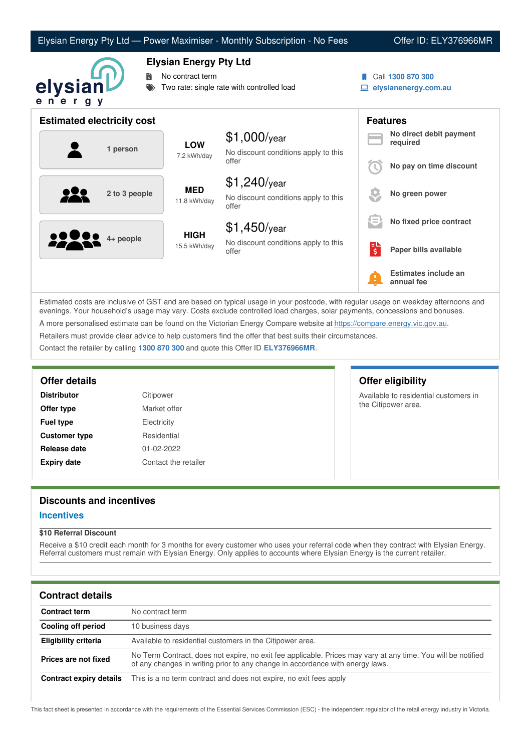|                                   |                                                                                                 | Elysian Energy Pty Ltd - Power Maximiser - Monthly Subscription - No Fees |   | Offer ID: ELY376966MR                     |
|-----------------------------------|-------------------------------------------------------------------------------------------------|---------------------------------------------------------------------------|---|-------------------------------------------|
| 聞<br>elysianl<br>ener<br>g y      | <b>Elysian Energy Pty Ltd</b><br>No contract term<br>Two rate: single rate with controlled load |                                                                           |   | Call 1300 870 300<br>elysianenergy.com.au |
| <b>Estimated electricity cost</b> |                                                                                                 |                                                                           |   | <b>Features</b>                           |
| 1 person                          | <b>LOW</b><br>7.2 kWh/day                                                                       | $$1,000$ /year<br>No discount conditions apply to this<br>offer           |   | No direct debit payment<br>required       |
|                                   |                                                                                                 |                                                                           |   | No pay on time discount                   |
| 2 to 3 people                     | <b>MED</b><br>11.8 kWh/day                                                                      | $$1,240$ /year<br>No discount conditions apply to this<br>offer           |   | No green power                            |
|                                   | <b>HIGH</b><br>15.5 kWh/day                                                                     | $$1,450$ /year                                                            |   | No fixed price contract                   |
| 4+ people                         |                                                                                                 | No discount conditions apply to this<br>offer                             | 먾 | Paper bills available                     |
|                                   |                                                                                                 |                                                                           |   | Estimates include an<br>annual fee        |

Estimated costs are inclusive of GST and are based on typical usage in your postcode, with regular usage on weekday afternoons and evenings. Your household's usage may vary. Costs exclude controlled load charges, solar payments, concessions and bonuses. A more personalised estimate can be found on the Victorian Energy Compare website at <https://compare.energy.vic.gov.au>. Retailers must provide clear advice to help customers find the offer that best suits their circumstances.

Available to residential customers in

the Citipower area.

Contact the retailer by calling **1300 870 300** and quote this Offer ID **ELY376966MR**.

## **Offer details Offer eligibility**

| <b>Distributor</b>   | Citipower    |
|----------------------|--------------|
| Offer type           | Market offer |
| <b>Fuel type</b>     | Electricity  |
| <b>Customer type</b> | Residential  |
| Release date         | 01-02-2022   |
| <b>Expiry date</b>   | Contact the  |

# **Expiry date** Contact the retailer

# **Discounts and incentives**

#### **Incentives**

#### **\$10 Referral Discount**

Receive a \$10 credit each month for 3 months for every customer who uses your referral code when they contract with Elysian Energy. Referral customers must remain with Elysian Energy. Only applies to accounts where Elysian Energy is the current retailer.

#### **Contract details**

| <b>Contract term</b>    | No contract term                                                                                                                                                                              |
|-------------------------|-----------------------------------------------------------------------------------------------------------------------------------------------------------------------------------------------|
| Cooling off period      | 10 business days                                                                                                                                                                              |
| Eligibility criteria    | Available to residential customers in the Citipower area.                                                                                                                                     |
| Prices are not fixed    | No Term Contract, does not expire, no exit fee applicable. Prices may vary at any time. You will be notified<br>of any changes in writing prior to any change in accordance with energy laws. |
| Contract expiry details | This is a no term contract and does not expire, no exit fees apply                                                                                                                            |

This fact sheet is presented in accordance with the requirements of the Essential Services Commission (ESC) - the independent regulator of the retail energy industry in Victoria.